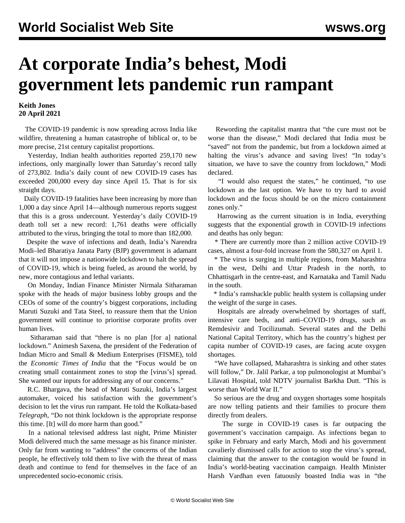## **At corporate India's behest, Modi government lets pandemic run rampant**

## **Keith Jones 20 April 2021**

 The COVID-19 pandemic is now spreading across India like wildfire, threatening a human catastrophe of biblical or, to be more precise, 21st century capitalist proportions.

 Yesterday, Indian health authorities reported 259,170 new infections, only marginally lower than Saturday's record tally of 273,802. India's daily count of new COVID-19 cases has exceeded 200,000 every day since April 15. That is for six straight days.

 Daily COVID-19 fatalities have been increasing by more than 1,000 a day since April 14—although numerous reports suggest that this is a gross undercount. Yesterday's daily COVID-19 death toll set a new record: 1,761 deaths were officially attributed to the virus, bringing the total to more than 182,000.

 Despite the wave of infections and death, India's Narendra Modi–led Bharatiya Janata Party (BJP) government is adamant that it will not impose a nationwide lockdown to halt the spread of COVID-19, which is being fueled, as around the world, by new, more contagious and lethal variants.

 On Monday, Indian Finance Minister Nirmala Sitharaman spoke with the heads of major business lobby groups and the CEOs of some of the country's biggest corporations, including Maruti Suzuki and Tata Steel, to reassure them that the Union government will continue to prioritise corporate profits over human lives.

 Sitharaman said that "there is no plan [for a] national lockdown." Animesh Saxena, the president of the Federation of Indian Micro and Small & Medium Enterprises (FISME), told the *Economic Times of India* that the "Focus would be on creating small containment zones to stop the [virus's] spread. She wanted our inputs for addressing any of our concerns."

 R.C. Bhargava, the head of Maruti Suzuki, India's largest automaker, voiced his satisfaction with the government's decision to let the virus run rampant. He told the Kolkata-based *Telegraph*, "Do not think lockdown is the appropriate response this time. [It] will do more harm than good."

 In a national televised address last night, Prime Minister Modi delivered much the same message as his finance minister. Only far from wanting to "address" the concerns of the Indian people, he effectively told them to live with the threat of mass death and continue to fend for themselves in the face of an unprecedented socio-economic crisis.

 Rewording the capitalist mantra that "the cure must not be worse than the disease," Modi declared that India must be "saved" not from the pandemic, but from a lockdown aimed at halting the virus's advance and saving lives! "In today's situation, we have to save the country from lockdown," Modi declared.

 "I would also request the states," he continued, "to use lockdown as the last option. We have to try hard to avoid lockdown and the focus should be on the micro containment zones only."

 Harrowing as the current situation is in India, everything suggests that the exponential growth in COVID-19 infections and deaths has only begun:

 \* There are currently more than 2 million active COVID-19 cases, almost a four-fold increase from the 580,327 on April 1.

 \* The virus is surging in multiple regions, from Maharashtra in the west, Delhi and Uttar Pradesh in the north, to Chhattisgarh in the centre-east, and Karnataka and Tamil Nadu in the south.

 \* India's ramshackle public health system is collapsing under the weight of the surge in cases.

 Hospitals are already overwhelmed by shortages of staff, intensive care beds, and anti–COVID-19 drugs, such as Remdesivir and Tocilizumab. Several states and the Delhi National Capital Territory, which has the country's highest per capita number of COVID-19 cases, are facing acute oxygen shortages.

 "We have collapsed, Maharashtra is sinking and other states will follow," Dr. Jalil Parkar, a top pulmonologist at Mumbai's Lilavati Hospital, told NDTV journalist Barkha Dutt. "This is worse than World War II."

 So serious are the drug and oxygen shortages some hospitals are now telling patients and their families to procure them directly from dealers.

 The surge in COVID-19 cases is far outpacing the government's vaccination campaign. As infections began to spike in February and early March, Modi and his government cavalierly dismissed calls for action to stop the virus's spread, claiming that the answer to the contagion would be found in India's world-beating vaccination campaign. Health Minister Harsh Vardhan even fatuously boasted India was in "the